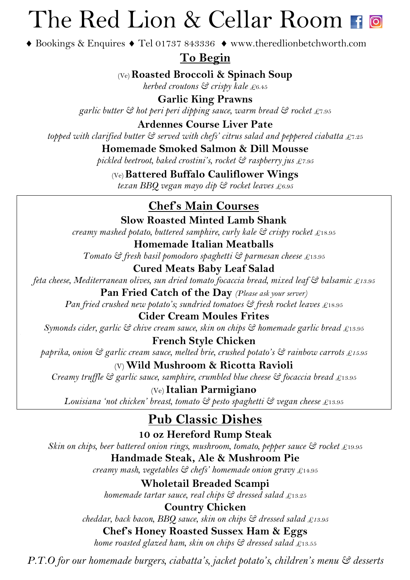# The Red Lion & Cellar Room Fo

◆ Bookings & Enquires ◆ Tel 01737 843336 ◆ www.theredlionbetchworth.com

**To Begin**

(Ve)**Roasted Broccoli & Spinach Soup**

*herbed croutons & crispy kale* £6.45

**Garlic King Prawns** *garlic butter & hot peri peri dipping sauce, warm bread & rocket* £7.95

**Ardennes Course Liver Pate**

*topped with clarified butter & served with chefs' citrus salad and peppered ciabatta* £7.25

**Homemade Smoked Salmon & Dill Mousse** *pickled beetroot, baked crostini's, rocket & raspberry jus £7.95*

(Ve)**Battered Buffalo Cauliflower Wings**

*texan BBQ vegan mayo dip & rocket leaves £6.95*

#### **Chef's Main Courses**

**Slow Roasted Minted Lamb Shank** *creamy mashed potato, buttered samphire, curly kale & crispy rocket* £18.95

**Homemade Italian Meatballs** *Tomato & fresh basil pomodoro spaghetti & parmesan cheese* £13.95

**Cured Meats Baby Leaf Salad** *feta cheese, Mediterranean olives, sun dried tomato focaccia bread, mixed leaf & balsamic £13.95*

**Pan Fried Catch of the Day** *(Please ask your server) Pan fried crushed new potato's; sundried tomatoes*  $\mathfrak{S}$  *fresh rocket leaves* £18.95

**Cider Cream Moules Frites** *Symonds cider, garlic & chive cream sauce, skin on chips & homemade garlic bread* £13.95

**French Style Chicken**  *paprika, onion & garlic cream sauce, melted brie, crushed potato's & rainbow carrots £15.95*

(V)**Wild Mushroom & Ricotta Ravioli** *Creamy truffle & garlic sauce, samphire, crumbled blue cheese & focaccia bread* £13.95

(Ve) **Italian Parmigiano** *Louisiana 'not chicken' breast, tomato & pesto spaghetti & vegan cheese* £13.95

#### **Pub Classic Dishes**

**10 oz Hereford Rump Steak**  *Skin on chips, beer battered onion rings, mushroom, tomato, pepper sauce & rocket* £19.95 **Handmade Steak, Ale & Mushroom Pie**

*creamy mash, vegetables & chefs' homemade onion gravy* £14.95

**Wholetail Breaded Scampi** *homemade tartar sauce, real chips & dressed salad* £13.25

**Country Chicken** *cheddar, back bacon, BBQ sauce, skin on chips & dressed salad £13.95*

**Chef's Honey Roasted Sussex Ham & Eggs**  *home roasted glazed ham, skin on chips & dressed salad* £13.55

*P.T.O for our homemade burgers, ciabatta's, jacket potato's, children's menu & desserts*